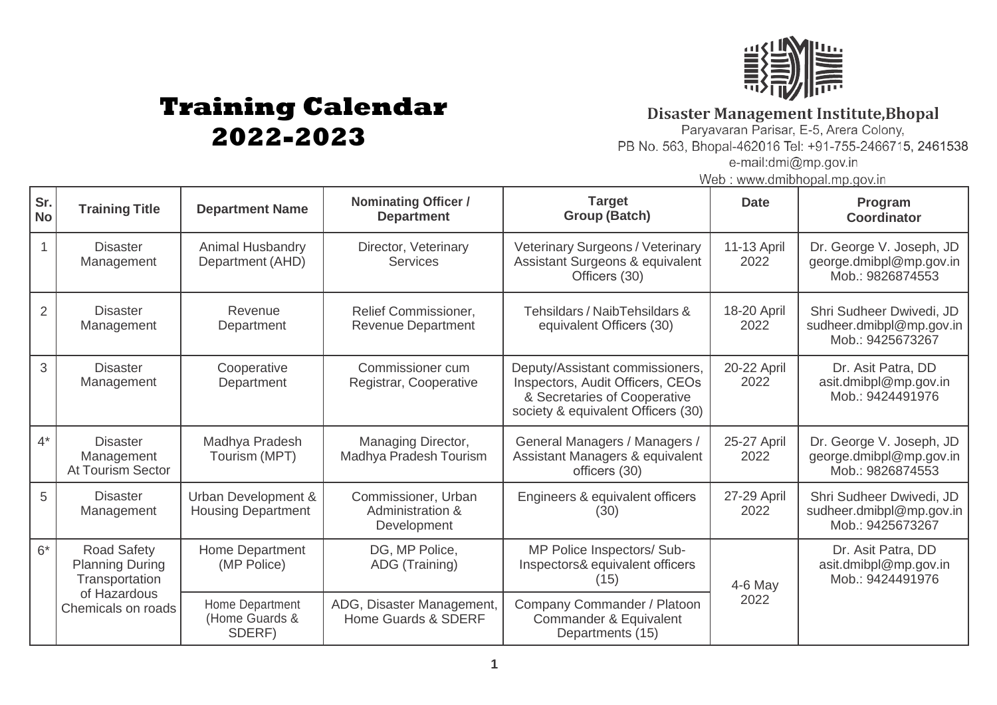

## **Training Calendar 2022-2023**

**Disaster Management Institute, Bhopal**<br>Paryavaran Parisar, E-5, Arera Colony,

PB No. 563, Bhopal-462016 Tel: +91-755-2466715, 2461538 e-mail:dmi@mp.gov.in

Web: www.dmibhopal.mp.gov.in

| Sr.<br><b>No</b> | <b>Training Title</b>                                                                                | <b>Department Name</b>                           | Nominating Officer /<br><b>Department</b>                | <b>Target</b><br><b>Group (Batch)</b>                                                                                                     | <b>Date</b>         | Program<br><b>Coordinator</b>                                            |
|------------------|------------------------------------------------------------------------------------------------------|--------------------------------------------------|----------------------------------------------------------|-------------------------------------------------------------------------------------------------------------------------------------------|---------------------|--------------------------------------------------------------------------|
|                  | <b>Disaster</b><br>Management                                                                        | Animal Husbandry<br>Department (AHD)             | Director, Veterinary<br><b>Services</b>                  | <b>Veterinary Surgeons / Veterinary</b><br>Assistant Surgeons & equivalent<br>Officers (30)                                               | 11-13 April<br>2022 | Dr. George V. Joseph, JD<br>george.dmibpl@mp.gov.in<br>Mob.: 9826874553  |
| 2                | <b>Disaster</b><br>Management                                                                        | Revenue<br>Department                            | <b>Relief Commissioner,</b><br><b>Revenue Department</b> | Tehsildars / NaibTehsildars &<br>equivalent Officers (30)                                                                                 | 18-20 April<br>2022 | Shri Sudheer Dwivedi, JD<br>sudheer.dmibpl@mp.gov.in<br>Mob.: 9425673267 |
| 3                | <b>Disaster</b><br>Management                                                                        | Cooperative<br>Department                        | Commissioner cum<br>Registrar, Cooperative               | Deputy/Assistant commissioners,<br>Inspectors, Audit Officers, CEOs<br>& Secretaries of Cooperative<br>society & equivalent Officers (30) | 20-22 April<br>2022 | Dr. Asit Patra, DD<br>asit.dmibpl@mp.gov.in<br>Mob.: 9424491976          |
| $4^*$            | <b>Disaster</b><br>Management<br><b>At Tourism Sector</b>                                            | Madhya Pradesh<br>Tourism (MPT)                  | Managing Director,<br>Madhya Pradesh Tourism             | General Managers / Managers /<br>Assistant Managers & equivalent<br>officers (30)                                                         | 25-27 April<br>2022 | Dr. George V. Joseph, JD<br>george.dmibpl@mp.gov.in<br>Mob.: 9826874553  |
| 5                | <b>Disaster</b><br>Management                                                                        | Urban Development &<br><b>Housing Department</b> | Commissioner, Urban<br>Administration &<br>Development   | Engineers & equivalent officers<br>(30)                                                                                                   | 27-29 April<br>2022 | Shri Sudheer Dwivedi, JD<br>sudheer.dmibpl@mp.gov.in<br>Mob.: 9425673267 |
| $6*$             | <b>Road Safety</b><br><b>Planning During</b><br>Transportation<br>of Hazardous<br>Chemicals on roads | Home Department<br>(MP Police)                   | DG, MP Police,<br>ADG (Training)                         | MP Police Inspectors/ Sub-<br>Inspectors& equivalent officers<br>(15)                                                                     | $4-6$ May           | Dr. Asit Patra, DD<br>asit.dmibpl@mp.gov.in<br>Mob.: 9424491976          |
|                  |                                                                                                      | Home Department<br>(Home Guards &<br>SDERF)      | ADG, Disaster Management,<br>Home Guards & SDERF         | Company Commander / Platoon<br>Commander & Equivalent<br>Departments (15)                                                                 | 2022                |                                                                          |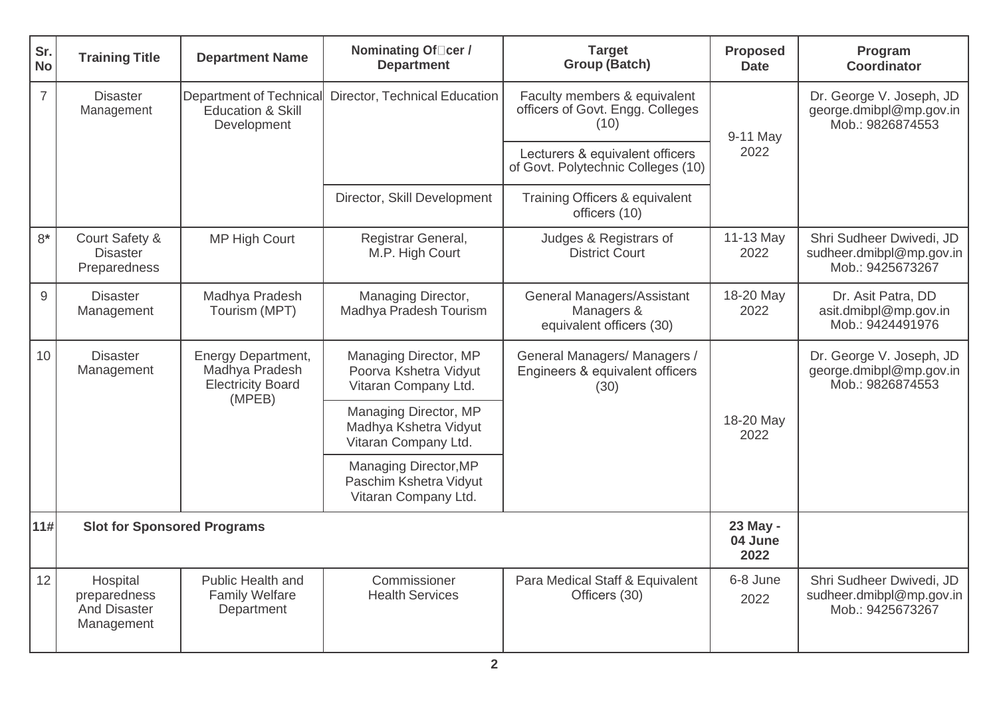| Sr.<br><b>No</b> | <b>Training Title</b>                                         | <b>Department Name</b>                                                            | Nominating Of <sub>□cer</sub> /<br><b>Department</b>                    | <b>Target</b><br><b>Group (Batch)</b>                                       | <b>Proposed</b><br><b>Date</b> | Program<br><b>Coordinator</b>                                            |
|------------------|---------------------------------------------------------------|-----------------------------------------------------------------------------------|-------------------------------------------------------------------------|-----------------------------------------------------------------------------|--------------------------------|--------------------------------------------------------------------------|
| $\overline{7}$   | <b>Disaster</b><br>Management                                 | <b>Department of Technical</b><br><b>Education &amp; Skill</b><br>Development     | Director, Technical Education                                           | Faculty members & equivalent<br>officers of Govt. Engg. Colleges<br>(10)    | 9-11 May<br>2022               | Dr. George V. Joseph, JD<br>george.dmibpl@mp.gov.in<br>Mob.: 9826874553  |
|                  |                                                               |                                                                                   |                                                                         | Lecturers & equivalent officers<br>of Govt. Polytechnic Colleges (10)       |                                |                                                                          |
|                  |                                                               |                                                                                   | Director, Skill Development                                             | Training Officers & equivalent<br>officers (10)                             |                                |                                                                          |
| $8*$             | Court Safety &<br><b>Disaster</b><br>Preparedness             | <b>MP High Court</b>                                                              | Registrar General,<br>M.P. High Court                                   | Judges & Registrars of<br><b>District Court</b>                             | 11-13 May<br>2022              | Shri Sudheer Dwivedi, JD<br>sudheer.dmibpl@mp.gov.in<br>Mob.: 9425673267 |
| 9                | <b>Disaster</b><br>Management                                 | Madhya Pradesh<br>Tourism (MPT)                                                   | Managing Director,<br>Madhya Pradesh Tourism                            | <b>General Managers/Assistant</b><br>Managers &<br>equivalent officers (30) | 18-20 May<br>2022              | Dr. Asit Patra, DD<br>asit.dmibpl@mp.gov.in<br>Mob.: 9424491976          |
| 10               | <b>Disaster</b><br>Management                                 | <b>Energy Department,</b><br>Madhya Pradesh<br><b>Electricity Board</b><br>(MPEB) | Managing Director, MP<br>Poorva Kshetra Vidyut<br>Vitaran Company Ltd.  | General Managers/ Managers /<br>Engineers & equivalent officers<br>(30)     | 18-20 May<br>2022              | Dr. George V. Joseph, JD<br>george.dmibpl@mp.gov.in<br>Mob.: 9826874553  |
|                  |                                                               |                                                                                   | Managing Director, MP<br>Madhya Kshetra Vidyut<br>Vitaran Company Ltd.  |                                                                             |                                |                                                                          |
|                  |                                                               |                                                                                   | Managing Director, MP<br>Paschim Kshetra Vidyut<br>Vitaran Company Ltd. |                                                                             |                                |                                                                          |
| 11#              | <b>Slot for Sponsored Programs</b>                            |                                                                                   | 23 May -<br>04 June<br>2022                                             |                                                                             |                                |                                                                          |
| 12               | Hospital<br>preparedness<br><b>And Disaster</b><br>Management | Public Health and<br><b>Family Welfare</b><br>Department                          | Commissioner<br><b>Health Services</b>                                  | Para Medical Staff & Equivalent<br>Officers (30)                            | 6-8 June<br>2022               | Shri Sudheer Dwivedi, JD<br>sudheer.dmibpl@mp.gov.in<br>Mob.: 9425673267 |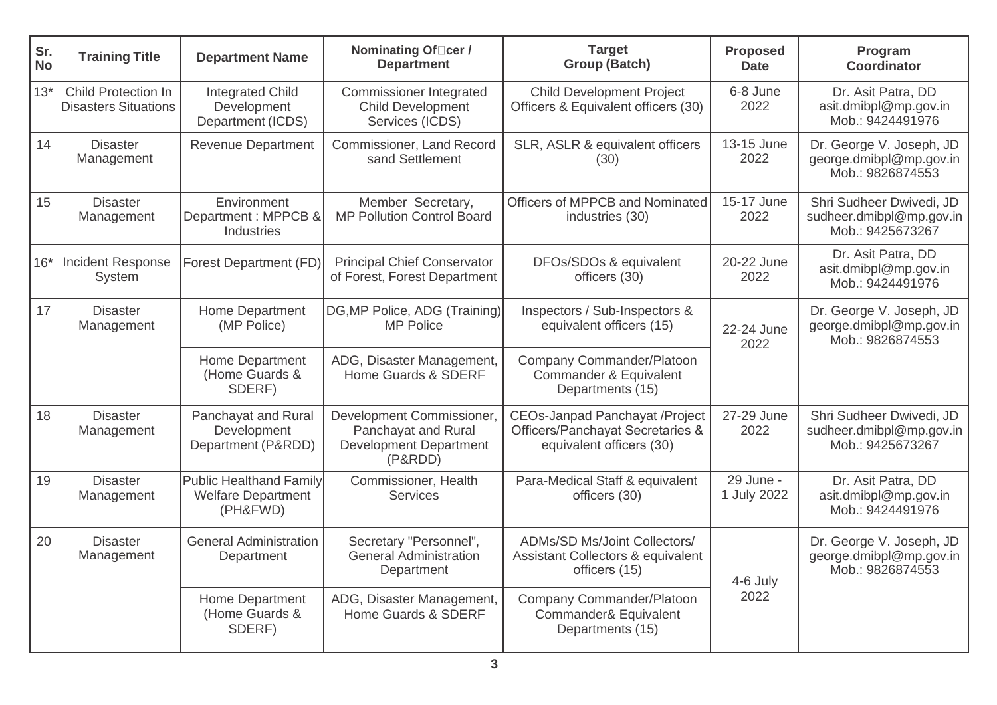| Sr.<br><b>No</b> | <b>Training Title</b>                                     | <b>Department Name</b>                                                  | Nominating Of□cer /<br><b>Department</b>                                                     | <b>Target</b><br><b>Group (Batch)</b>                                                                 | <b>Proposed</b><br><b>Date</b> | Program<br><b>Coordinator</b>                                            |
|------------------|-----------------------------------------------------------|-------------------------------------------------------------------------|----------------------------------------------------------------------------------------------|-------------------------------------------------------------------------------------------------------|--------------------------------|--------------------------------------------------------------------------|
| $13*$            | <b>Child Protection In</b><br><b>Disasters Situations</b> | <b>Integrated Child</b><br>Development<br>Department (ICDS)             | <b>Commissioner Integrated</b><br><b>Child Development</b><br>Services (ICDS)                | <b>Child Development Project</b><br>Officers & Equivalent officers (30)                               | 6-8 June<br>2022               | Dr. Asit Patra, DD<br>asit.dmibpl@mp.gov.in<br>Mob.: 9424491976          |
| 14               | <b>Disaster</b><br>Management                             | <b>Revenue Department</b>                                               | <b>Commissioner, Land Record</b><br>sand Settlement                                          | SLR, ASLR & equivalent officers<br>(30)                                                               | 13-15 June<br>2022             | Dr. George V. Joseph, JD<br>george.dmibpl@mp.gov.in<br>Mob.: 9826874553  |
| 15               | <b>Disaster</b><br>Management                             | Environment<br>Department: MPPCB &<br>Industries                        | Member Secretary,<br><b>MP Pollution Control Board</b>                                       | Officers of MPPCB and Nominated<br>industries (30)                                                    | 15-17 June<br>2022             | Shri Sudheer Dwivedi, JD<br>sudheer.dmibpl@mp.gov.in<br>Mob.: 9425673267 |
| $16*$            | <b>Incident Response</b><br>System                        | Forest Department (FD)                                                  | <b>Principal Chief Conservator</b><br>of Forest, Forest Department                           | DFOs/SDOs & equivalent<br>officers (30)                                                               | 20-22 June<br>2022             | Dr. Asit Patra, DD<br>asit.dmibpl@mp.gov.in<br>Mob.: 9424491976          |
| 17               | <b>Disaster</b><br>Management                             | Home Department<br>(MP Police)                                          | DG, MP Police, ADG (Training)<br><b>MP Police</b>                                            | Inspectors / Sub-Inspectors &<br>equivalent officers (15)                                             | 22-24 June<br>2022             | Dr. George V. Joseph, JD<br>george.dmibpl@mp.gov.in<br>Mob.: 9826874553  |
|                  |                                                           | Home Department<br>(Home Guards &<br>SDERF)                             | ADG, Disaster Management,<br>Home Guards & SDERF                                             | Company Commander/Platoon<br>Commander & Equivalent<br>Departments (15)                               |                                |                                                                          |
| 18               | <b>Disaster</b><br>Management                             | Panchayat and Rural<br>Development<br>Department (P&RDD)                | Development Commissioner,<br>Panchayat and Rural<br><b>Development Department</b><br>(P&RDD) | <b>CEOs-Janpad Panchayat /Project</b><br>Officers/Panchayat Secretaries &<br>equivalent officers (30) | 27-29 June<br>2022             | Shri Sudheer Dwivedi, JD<br>sudheer.dmibpl@mp.gov.in<br>Mob.: 9425673267 |
| 19               | <b>Disaster</b><br>Management                             | <b>Public Healthand Family</b><br><b>Welfare Department</b><br>(PH&FWD) | Commissioner, Health<br>Services                                                             | Para-Medical Staff & equivalent<br>officers (30)                                                      | 29 June -<br>1 July 2022       | Dr. Asit Patra, DD<br>asit.dmibpl@mp.gov.in<br>Mob.: 9424491976          |
| 20               | <b>Disaster</b><br>Management                             | <b>General Administration</b><br>Department                             | Secretary "Personnel",<br><b>General Administration</b><br>Department                        | <b>ADMs/SD Ms/Joint Collectors/</b><br><b>Assistant Collectors &amp; equivalent</b><br>officers (15)  | 4-6 July<br>2022               | Dr. George V. Joseph, JD<br>george.dmibpl@mp.gov.in<br>Mob.: 9826874553  |
|                  |                                                           | Home Department<br>(Home Guards &<br>SDERF)                             | ADG, Disaster Management,<br>Home Guards & SDERF                                             | Company Commander/Platoon<br>Commander& Equivalent<br>Departments (15)                                |                                |                                                                          |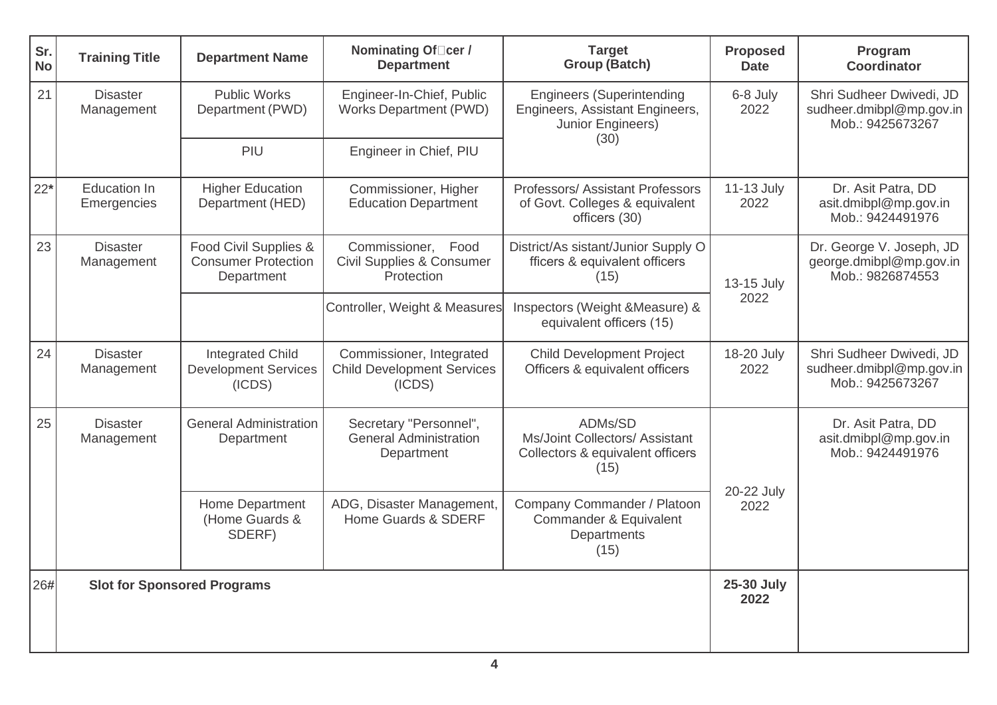| Sr.<br><b>No</b> | <b>Training Title</b>              | <b>Department Name</b>                                            | Nominating Of□cer /<br><b>Department</b>                                 | <b>Target</b><br><b>Group (Batch)</b>                                                     | <b>Proposed</b><br><b>Date</b> | Program<br>Coordinator                                                   |
|------------------|------------------------------------|-------------------------------------------------------------------|--------------------------------------------------------------------------|-------------------------------------------------------------------------------------------|--------------------------------|--------------------------------------------------------------------------|
| 21               | <b>Disaster</b><br>Management      | <b>Public Works</b><br>Department (PWD)                           | Engineer-In-Chief, Public<br><b>Works Department (PWD)</b>               | <b>Engineers (Superintending</b><br>Engineers, Assistant Engineers,<br>Junior Engineers)  | 6-8 July<br>2022               | Shri Sudheer Dwivedi, JD<br>sudheer.dmibpl@mp.gov.in<br>Mob.: 9425673267 |
|                  |                                    | PIU                                                               | Engineer in Chief, PIU                                                   | (30)                                                                                      |                                |                                                                          |
| $22*$            | <b>Education In</b><br>Emergencies | <b>Higher Education</b><br>Department (HED)                       | Commissioner, Higher<br><b>Education Department</b>                      | <b>Professors/Assistant Professors</b><br>of Govt. Colleges & equivalent<br>officers (30) | 11-13 July<br>2022             | Dr. Asit Patra, DD<br>asit.dmibpl@mp.gov.in<br>Mob.: 9424491976          |
| 23               | <b>Disaster</b><br>Management      | Food Civil Supplies &<br><b>Consumer Protection</b><br>Department | Commissioner, Food<br><b>Civil Supplies &amp; Consumer</b><br>Protection | District/As sistant/Junior Supply O<br>fficers & equivalent officers<br>(15)              | 13-15 July<br>2022             | Dr. George V. Joseph, JD<br>george.dmibpl@mp.gov.in<br>Mob.: 9826874553  |
|                  |                                    |                                                                   | Controller, Weight & Measures                                            | Inspectors (Weight & Measure) &<br>equivalent officers (15)                               |                                |                                                                          |
| 24               | <b>Disaster</b><br>Management      | <b>Integrated Child</b><br><b>Development Services</b><br>(ICDS)  | Commissioner, Integrated<br><b>Child Development Services</b><br>(ICDS)  | <b>Child Development Project</b><br>Officers & equivalent officers                        | 18-20 July<br>2022             | Shri Sudheer Dwivedi, JD<br>sudheer.dmibpl@mp.gov.in<br>Mob.: 9425673267 |
| 25               | <b>Disaster</b><br>Management      | <b>General Administration</b><br>Department                       | Secretary "Personnel",<br><b>General Administration</b><br>Department    | ADMs/SD<br>Ms/Joint Collectors/ Assistant<br>Collectors & equivalent officers<br>(15)     |                                | Dr. Asit Patra, DD<br>asit.dmibpl@mp.gov.in<br>Mob.: 9424491976          |
|                  |                                    | Home Department<br>(Home Guards &<br>SDERF)                       | ADG, Disaster Management,<br>Home Guards & SDERF                         | Company Commander / Platoon<br>Commander & Equivalent<br>Departments<br>(15)              | 20-22 July<br>2022             |                                                                          |
| 26#              | <b>Slot for Sponsored Programs</b> |                                                                   |                                                                          |                                                                                           | 25-30 July<br>2022             |                                                                          |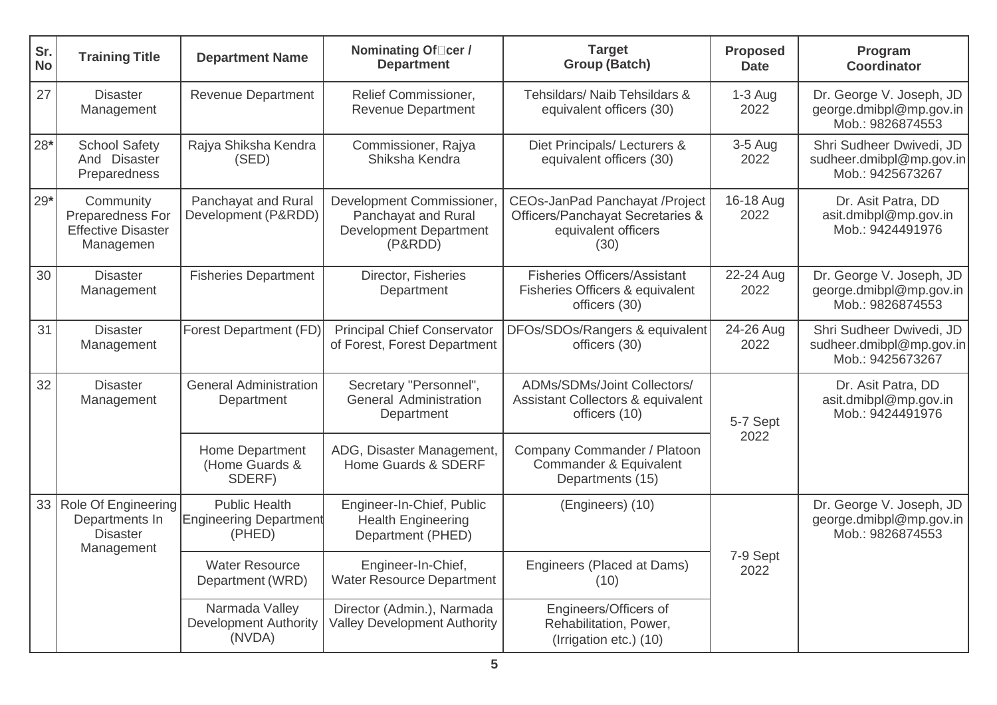| Sr.<br><b>No</b> | <b>Training Title</b>                                                   | <b>Department Name</b>                                          | Nominating Of□cer /<br><b>Department</b>                                                     | <b>Target</b><br><b>Group (Batch)</b>                                                             | <b>Proposed</b><br><b>Date</b> | Program<br><b>Coordinator</b>                                            |
|------------------|-------------------------------------------------------------------------|-----------------------------------------------------------------|----------------------------------------------------------------------------------------------|---------------------------------------------------------------------------------------------------|--------------------------------|--------------------------------------------------------------------------|
| 27               | <b>Disaster</b><br>Management                                           | <b>Revenue Department</b>                                       | Relief Commissioner,<br><b>Revenue Department</b>                                            | Tehsildars/ Naib Tehsildars &<br>equivalent officers (30)                                         | $1-3$ Aug<br>2022              | Dr. George V. Joseph, JD<br>george.dmibpl@mp.gov.in<br>Mob.: 9826874553  |
| $28*$            | <b>School Safety</b><br>And Disaster<br>Preparedness                    | Rajya Shiksha Kendra<br>(SED)                                   | Commissioner, Rajya<br>Shiksha Kendra                                                        | Diet Principals/ Lecturers &<br>equivalent officers (30)                                          | $3-5$ Aug<br>2022              | Shri Sudheer Dwivedi, JD<br>sudheer.dmibpl@mp.gov.in<br>Mob.: 9425673267 |
| $29*$            | Community<br>Preparedness For<br><b>Effective Disaster</b><br>Managemen | Panchayat and Rural<br>Development (P&RDD)                      | Development Commissioner,<br>Panchayat and Rural<br><b>Development Department</b><br>(P&RDD) | CEOs-JanPad Panchayat /Project<br>Officers/Panchayat Secretaries &<br>equivalent officers<br>(30) | 16-18 Aug<br>2022              | Dr. Asit Patra, DD<br>asit.dmibpl@mp.gov.in<br>Mob.: 9424491976          |
| 30               | <b>Disaster</b><br>Management                                           | <b>Fisheries Department</b>                                     | Director, Fisheries<br>Department                                                            | <b>Fisheries Officers/Assistant</b><br>Fisheries Officers & equivalent<br>officers (30)           | 22-24 Aug<br>2022              | Dr. George V. Joseph, JD<br>george.dmibpl@mp.gov.in<br>Mob.: 9826874553  |
| 31               | <b>Disaster</b><br>Management                                           | Forest Department (FD)                                          | <b>Principal Chief Conservator</b><br>of Forest, Forest Department                           | DFOs/SDOs/Rangers & equivalent<br>officers (30)                                                   | 24-26 Aug<br>2022              | Shri Sudheer Dwivedi, JD<br>sudheer.dmibpl@mp.gov.in<br>Mob.: 9425673267 |
| 32               | <b>Disaster</b><br>Management                                           | <b>General Administration</b><br>Department                     | Secretary "Personnel",<br>General Administration<br>Department                               | ADMs/SDMs/Joint Collectors/<br><b>Assistant Collectors &amp; equivalent</b><br>officers (10)      | 5-7 Sept                       | Dr. Asit Patra, DD<br>asit.dmibpl@mp.gov.in<br>Mob.: 9424491976          |
|                  |                                                                         | Home Department<br>(Home Guards &<br>SDERF)                     | ADG, Disaster Management,<br>Home Guards & SDERF                                             | Company Commander / Platoon<br>Commander & Equivalent<br>Departments (15)                         | 2022                           |                                                                          |
| 33               | Role Of Engineering<br>Departments In<br><b>Disaster</b><br>Management  | <b>Public Health</b><br><b>Engineering Department</b><br>(PHED) | Engineer-In-Chief, Public<br><b>Health Engineering</b><br>Department (PHED)                  | (Engineers) (10)                                                                                  | 7-9 Sept<br>2022               | Dr. George V. Joseph, JD<br>george.dmibpl@mp.gov.in<br>Mob.: 9826874553  |
|                  |                                                                         | <b>Water Resource</b><br>Department (WRD)                       | Engineer-In-Chief,<br><b>Water Resource Department</b>                                       | Engineers (Placed at Dams)<br>(10)                                                                |                                |                                                                          |
|                  |                                                                         | Narmada Valley<br><b>Development Authority</b><br>(NVDA)        | Director (Admin.), Narmada<br><b>Valley Development Authority</b>                            | Engineers/Officers of<br>Rehabilitation, Power,<br>(Irrigation etc.) (10)                         |                                |                                                                          |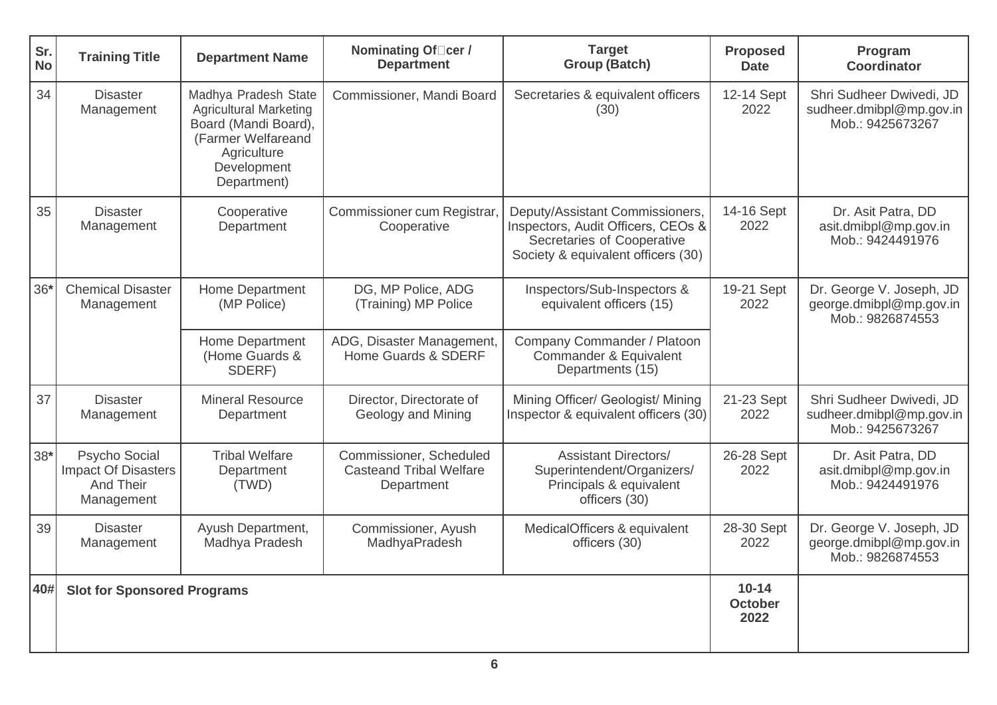| Sr.<br><b>No</b> | <b>Training Title</b>                                                  | <b>Department Name</b>                                                                                                                           | Nominating Of□cer /<br><b>Department</b>                                | <b>Target</b><br><b>Group (Batch)</b>                                                                                                     | <b>Proposed</b><br><b>Date</b>      | Program<br>Coordinator                                                   |                                                                         |
|------------------|------------------------------------------------------------------------|--------------------------------------------------------------------------------------------------------------------------------------------------|-------------------------------------------------------------------------|-------------------------------------------------------------------------------------------------------------------------------------------|-------------------------------------|--------------------------------------------------------------------------|-------------------------------------------------------------------------|
| 34               | <b>Disaster</b><br>Management                                          | Madhya Pradesh State<br><b>Agricultural Marketing</b><br>Board (Mandi Board),<br>(Farmer Welfareand<br>Agriculture<br>Development<br>Department) | Commissioner, Mandi Board                                               | Secretaries & equivalent officers<br>(30)                                                                                                 | 12-14 Sept<br>2022                  | Shri Sudheer Dwivedi, JD<br>sudheer.dmibpl@mp.gov.in<br>Mob.: 9425673267 |                                                                         |
| 35               | <b>Disaster</b><br>Management                                          | Cooperative<br>Department                                                                                                                        | Commissioner cum Registrar.<br>Cooperative                              | Deputy/Assistant Commissioners,<br>Inspectors, Audit Officers, CEOs &<br>Secretaries of Cooperative<br>Society & equivalent officers (30) | 14-16 Sept<br>2022                  | Dr. Asit Patra, DD<br>asit.dmibpl@mp.gov.in<br>Mob.: 9424491976          |                                                                         |
| $36*$            | <b>Chemical Disaster</b><br>Management                                 | Home Department<br>(MP Police)                                                                                                                   | DG, MP Police, ADG<br>(Training) MP Police                              | Inspectors/Sub-Inspectors &<br>equivalent officers (15)                                                                                   | 19-21 Sept<br>2022                  |                                                                          | Dr. George V. Joseph, JD<br>george.dmibpl@mp.gov.in<br>Mob.: 9826874553 |
|                  |                                                                        | <b>Home Department</b><br>(Home Guards &<br>SDERF)                                                                                               | ADG, Disaster Management,<br>Home Guards & SDERF                        | Company Commander / Platoon<br>Commander & Equivalent<br>Departments (15)                                                                 |                                     |                                                                          |                                                                         |
| 37               | <b>Disaster</b><br>Management                                          | <b>Mineral Resource</b><br>Department                                                                                                            | Director, Directorate of<br>Geology and Mining                          | Mining Officer/ Geologist/ Mining<br>Inspector & equivalent officers (30)                                                                 | 21-23 Sept<br>2022                  | Shri Sudheer Dwivedi, JD<br>sudheer.dmibpl@mp.gov.in<br>Mob.: 9425673267 |                                                                         |
| $38*$            | Psycho Social<br><b>Impact Of Disasters</b><br>And Their<br>Management | <b>Tribal Welfare</b><br>Department<br>(TWD)                                                                                                     | Commissioner, Scheduled<br><b>Casteand Tribal Welfare</b><br>Department | <b>Assistant Directors/</b><br>Superintendent/Organizers/<br>Principals & equivalent<br>officers (30)                                     | 26-28 Sept<br>2022                  | Dr. Asit Patra, DD<br>asit.dmibpl@mp.gov.in<br>Mob.: 9424491976          |                                                                         |
| 39               | <b>Disaster</b><br>Management                                          | Ayush Department,<br>Madhya Pradesh                                                                                                              | Commissioner, Ayush<br>MadhyaPradesh                                    | MedicalOfficers & equivalent<br>officers (30)                                                                                             | 28-30 Sept<br>2022                  | Dr. George V. Joseph, JD<br>george.dmibpl@mp.gov.in<br>Mob.: 9826874553  |                                                                         |
| 40#              | <b>Slot for Sponsored Programs</b>                                     |                                                                                                                                                  |                                                                         |                                                                                                                                           | $10 - 14$<br><b>October</b><br>2022 |                                                                          |                                                                         |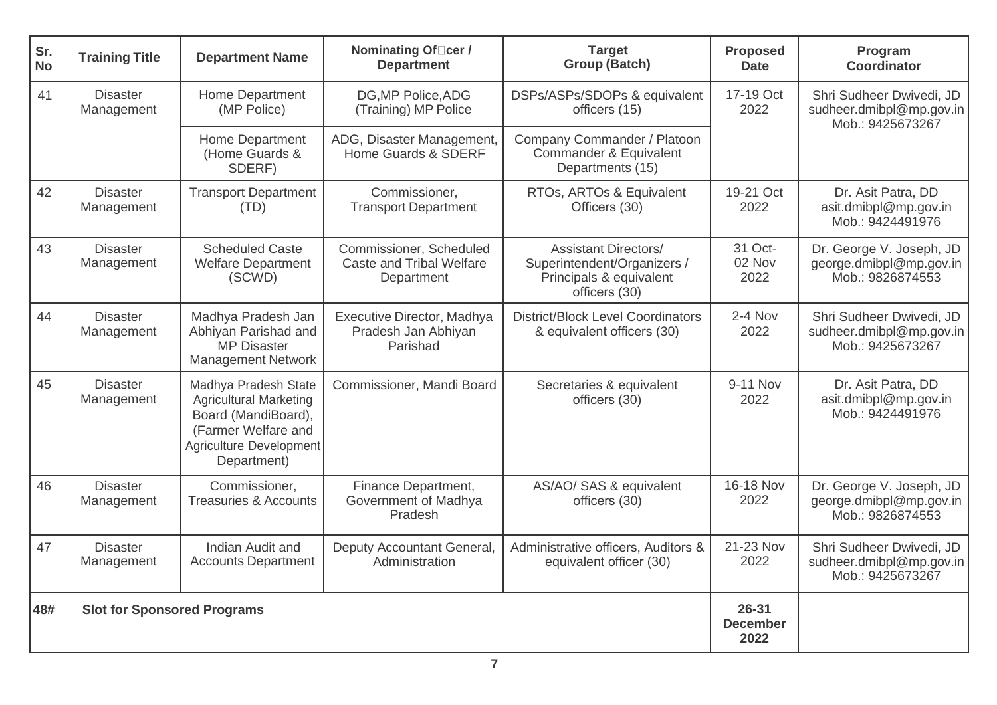| Sr.<br><b>No</b> | <b>Training Title</b>              | <b>Department Name</b>                                                                                                                        | Nominating Of Cer /<br><b>Department</b>                          | <b>Target</b><br><b>Group (Batch)</b>                                                                  | <b>Proposed</b><br><b>Date</b> | Program<br><b>Coordinator</b>                                            |  |
|------------------|------------------------------------|-----------------------------------------------------------------------------------------------------------------------------------------------|-------------------------------------------------------------------|--------------------------------------------------------------------------------------------------------|--------------------------------|--------------------------------------------------------------------------|--|
| 41               | <b>Disaster</b><br>Management      | Home Department<br>(MP Police)                                                                                                                | DG, MP Police, ADG<br>(Training) MP Police                        | DSPs/ASPs/SDOPs & equivalent<br>officers (15)                                                          | 17-19 Oct<br>2022              | Shri Sudheer Dwivedi, JD<br>sudheer.dmibpl@mp.gov.in<br>Mob.: 9425673267 |  |
|                  |                                    | Home Department<br>(Home Guards &<br>SDERF)                                                                                                   | ADG, Disaster Management,<br>Home Guards & SDERF                  | Company Commander / Platoon<br>Commander & Equivalent<br>Departments (15)                              |                                |                                                                          |  |
| 42               | <b>Disaster</b><br>Management      | <b>Transport Department</b><br>(TD)                                                                                                           | Commissioner,<br><b>Transport Department</b>                      | RTOs, ARTOs & Equivalent<br>Officers (30)                                                              | 19-21 Oct<br>2022              | Dr. Asit Patra, DD<br>asit.dmibpl@mp.gov.in<br>Mob.: 9424491976          |  |
| 43               | <b>Disaster</b><br>Management      | <b>Scheduled Caste</b><br><b>Welfare Department</b><br>(SCWD)                                                                                 | Commissioner, Scheduled<br>Caste and Tribal Welfare<br>Department | <b>Assistant Directors/</b><br>Superintendent/Organizers /<br>Principals & equivalent<br>officers (30) | 31 Oct-<br>02 Nov<br>2022      | Dr. George V. Joseph, JD<br>george.dmibpl@mp.gov.in<br>Mob.: 9826874553  |  |
| 44               | <b>Disaster</b><br>Management      | Madhya Pradesh Jan<br>Abhiyan Parishad and<br><b>MP Disaster</b><br><b>Management Network</b>                                                 | Executive Director, Madhya<br>Pradesh Jan Abhiyan<br>Parishad     | <b>District/Block Level Coordinators</b><br>& equivalent officers (30)                                 | $2 - 4$ Nov<br>2022            | Shri Sudheer Dwivedi, JD<br>sudheer.dmibpl@mp.gov.in<br>Mob.: 9425673267 |  |
| 45               | <b>Disaster</b><br>Management      | Madhya Pradesh State<br><b>Agricultural Marketing</b><br>Board (MandiBoard),<br>(Farmer Welfare and<br>Agriculture Development<br>Department) | Commissioner, Mandi Board                                         | Secretaries & equivalent<br>officers (30)                                                              | 9-11 Nov<br>2022               | Dr. Asit Patra, DD<br>asit.dmibpl@mp.gov.in<br>Mob.: 9424491976          |  |
| 46               | <b>Disaster</b><br>Management      | Commissioner,<br><b>Treasuries &amp; Accounts</b>                                                                                             | Finance Department,<br>Government of Madhya<br>Pradesh            | AS/AO/ SAS & equivalent<br>officers (30)                                                               | 16-18 Nov<br>2022              | Dr. George V. Joseph, JD<br>george.dmibpl@mp.gov.in<br>Mob.: 9826874553  |  |
| 47               | <b>Disaster</b><br>Management      | Indian Audit and<br><b>Accounts Department</b>                                                                                                | Deputy Accountant General,<br>Administration                      | Administrative officers, Auditors &<br>equivalent officer (30)                                         | 21-23 Nov<br>2022              | Shri Sudheer Dwivedi, JD<br>sudheer.dmibpl@mp.gov.in<br>Mob.: 9425673267 |  |
| 48#              | <b>Slot for Sponsored Programs</b> |                                                                                                                                               | $26 - 31$<br><b>December</b><br>2022                              |                                                                                                        |                                |                                                                          |  |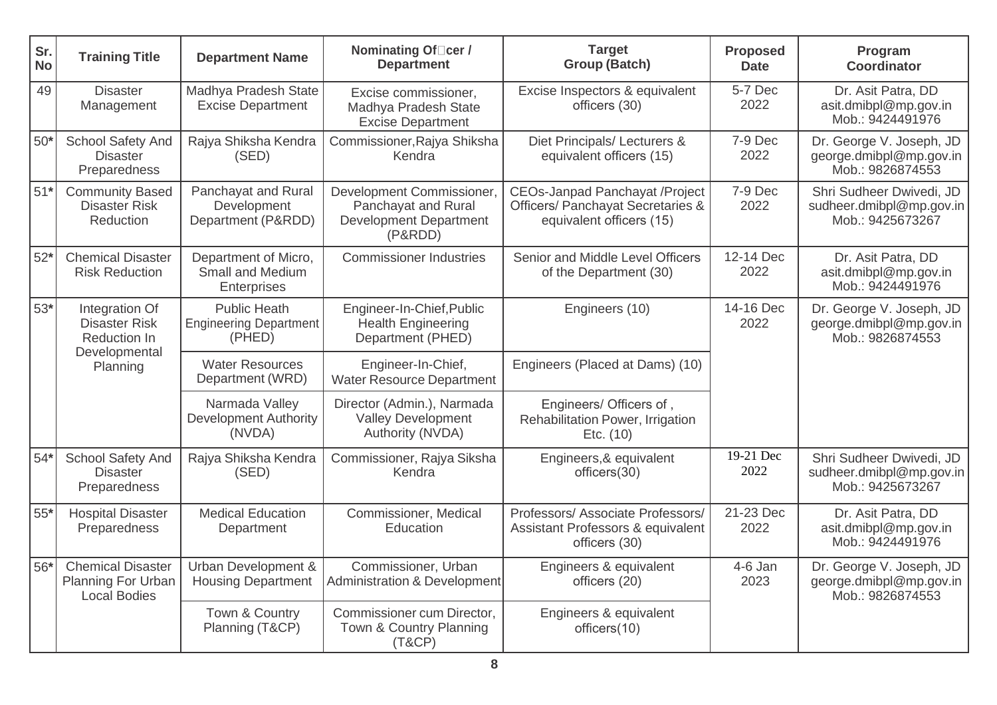| Sr.<br><b>No</b> | <b>Training Title</b>                                                 | <b>Department Name</b>                                         | Nominating Of <sub>□cer</sub> /<br><b>Department</b>                                         | <b>Target</b><br><b>Group (Batch)</b>                                                                  | <b>Proposed</b><br><b>Date</b>                                                               | Program<br><b>Coordinator</b>                                            |  |
|------------------|-----------------------------------------------------------------------|----------------------------------------------------------------|----------------------------------------------------------------------------------------------|--------------------------------------------------------------------------------------------------------|----------------------------------------------------------------------------------------------|--------------------------------------------------------------------------|--|
| 49               | <b>Disaster</b><br>Management                                         | Madhya Pradesh State<br><b>Excise Department</b>               | Excise commissioner,<br>Madhya Pradesh State<br><b>Excise Department</b>                     | Excise Inspectors & equivalent<br>officers (30)                                                        | 5-7 Dec<br>2022                                                                              | Dr. Asit Patra, DD<br>asit.dmibpl@mp.gov.in<br>Mob.: 9424491976          |  |
| $50*$            | School Safety And<br><b>Disaster</b><br>Preparedness                  | Rajya Shiksha Kendra<br>(SED)                                  | Commissioner, Rajya Shiksha<br>Kendra                                                        | Diet Principals/ Lecturers &<br>equivalent officers (15)                                               | 7-9 Dec<br>2022                                                                              | Dr. George V. Joseph, JD<br>george.dmibpl@mp.gov.in<br>Mob.: 9826874553  |  |
| $51*$            | <b>Community Based</b><br><b>Disaster Risk</b><br>Reduction           | Panchayat and Rural<br>Development<br>Department (P&RDD)       | Development Commissioner,<br>Panchayat and Rural<br><b>Development Department</b><br>(P&RDD) | <b>CEOs-Janpad Panchayat /Project</b><br>Officers/ Panchayat Secretaries &<br>equivalent officers (15) | 7-9 Dec<br>2022                                                                              | Shri Sudheer Dwivedi, JD<br>sudheer.dmibpl@mp.gov.in<br>Mob.: 9425673267 |  |
| $52*$            | <b>Chemical Disaster</b><br><b>Risk Reduction</b>                     | Department of Micro,<br>Small and Medium<br>Enterprises        | <b>Commissioner Industries</b>                                                               | Senior and Middle Level Officers<br>of the Department (30)                                             | 12-14 Dec<br>2022                                                                            | Dr. Asit Patra, DD<br>asit.dmibpl@mp.gov.in<br>Mob.: 9424491976          |  |
| $53*$            | Integration Of<br><b>Disaster Risk</b><br>Reduction In                | <b>Public Heath</b><br><b>Engineering Department</b><br>(PHED) | Engineer-In-Chief, Public<br><b>Health Engineering</b><br>Department (PHED)                  | Engineers (10)                                                                                         | 14-16 Dec<br>Dr. George V. Joseph, JD<br>2022<br>george.dmibpl@mp.gov.in<br>Mob.: 9826874553 |                                                                          |  |
|                  | Developmental<br>Planning                                             | <b>Water Resources</b><br>Department (WRD)                     | Engineer-In-Chief,<br><b>Water Resource Department</b>                                       | Engineers (Placed at Dams) (10)                                                                        |                                                                                              |                                                                          |  |
|                  |                                                                       | Narmada Valley<br><b>Development Authority</b><br>(NVDA)       | Director (Admin.), Narmada<br><b>Valley Development</b><br>Authority (NVDA)                  | Engineers/ Officers of,<br>Rehabilitation Power, Irrigation<br>Etc. (10)                               |                                                                                              |                                                                          |  |
| $54*$            | <b>School Safety And</b><br><b>Disaster</b><br>Preparedness           | Rajya Shiksha Kendra<br>(SED)                                  | Commissioner, Rajya Siksha<br>Kendra                                                         | Engineers, & equivalent<br>officers(30)                                                                | 19-21 Dec<br>2022                                                                            | Shri Sudheer Dwivedi, JD<br>sudheer.dmibpl@mp.gov.in<br>Mob.: 9425673267 |  |
| $55*$            | <b>Hospital Disaster</b><br>Preparedness                              | <b>Medical Education</b><br>Department                         | Commissioner, Medical<br>Education                                                           | Professors/ Associate Professors/<br>Assistant Professors & equivalent<br>officers (30)                | 21-23 Dec<br>2022                                                                            | Dr. Asit Patra, DD<br>asit.dmibpl@mp.gov.in<br>Mob.: 9424491976          |  |
| $56*$            | <b>Chemical Disaster</b><br>Planning For Urban<br><b>Local Bodies</b> | Urban Development &<br><b>Housing Department</b>               | Commissioner, Urban<br><b>Administration &amp; Development</b>                               | Engineers & equivalent<br>officers (20)                                                                | 4-6 Jan<br>2023                                                                              | Dr. George V. Joseph, JD<br>george.dmibpl@mp.gov.in<br>Mob.: 9826874553  |  |
|                  |                                                                       | Town & Country<br>Planning (T&CP)                              | Commissioner cum Director,<br>Town & Country Planning<br>(T&CP)                              | Engineers & equivalent<br>officers(10)                                                                 |                                                                                              |                                                                          |  |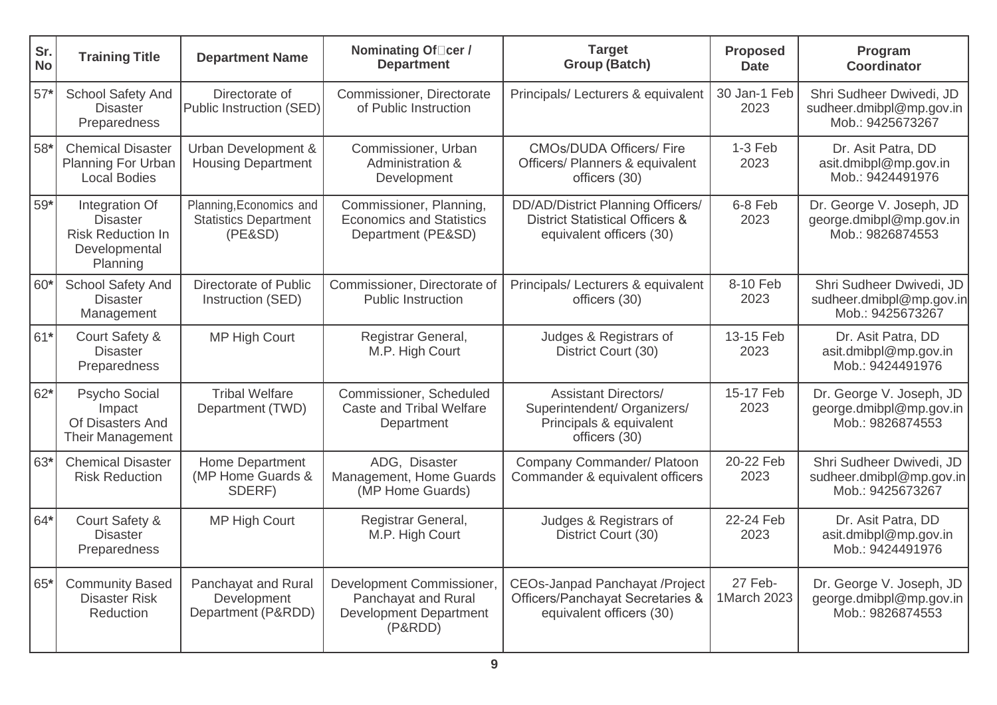| Sr.<br><b>No</b> | <b>Training Title</b>                                                                      | <b>Department Name</b>                                             | Nominating Of <sub>□cer</sub> /<br><b>Department</b>                                         | <b>Target</b><br><b>Group (Batch)</b>                                                                       | <b>Proposed</b><br><b>Date</b> | Program<br><b>Coordinator</b>                                            |
|------------------|--------------------------------------------------------------------------------------------|--------------------------------------------------------------------|----------------------------------------------------------------------------------------------|-------------------------------------------------------------------------------------------------------------|--------------------------------|--------------------------------------------------------------------------|
| $57*$            | <b>School Safety And</b><br><b>Disaster</b><br>Preparedness                                | Directorate of<br>Public Instruction (SED)                         | Commissioner, Directorate<br>of Public Instruction                                           | Principals/ Lecturers & equivalent                                                                          | 30 Jan-1 Feb<br>2023           | Shri Sudheer Dwivedi, JD<br>sudheer.dmibpl@mp.gov.in<br>Mob.: 9425673267 |
| 58*              | <b>Chemical Disaster</b><br>Planning For Urban<br><b>Local Bodies</b>                      | Urban Development &<br><b>Housing Department</b>                   | Commissioner, Urban<br>Administration &<br>Development                                       | <b>CMOs/DUDA Officers/ Fire</b><br>Officers/ Planners & equivalent<br>officers (30)                         | $1-3$ Feb<br>2023              | Dr. Asit Patra, DD<br>asit.dmibpl@mp.gov.in<br>Mob.: 9424491976          |
| 59*              | Integration Of<br><b>Disaster</b><br><b>Risk Reduction In</b><br>Developmental<br>Planning | Planning, Economics and<br><b>Statistics Department</b><br>(PE&SD) | Commissioner, Planning,<br><b>Economics and Statistics</b><br>Department (PE&SD)             | DD/AD/District Planning Officers/<br><b>District Statistical Officers &amp;</b><br>equivalent officers (30) | 6-8 Feb<br>2023                | Dr. George V. Joseph, JD<br>george.dmibpl@mp.gov.in<br>Mob.: 9826874553  |
| $60*$            | School Safety And<br><b>Disaster</b><br>Management                                         | <b>Directorate of Public</b><br>Instruction (SED)                  | Commissioner, Directorate of<br><b>Public Instruction</b>                                    | Principals/ Lecturers & equivalent<br>officers (30)                                                         | 8-10 Feb<br>2023               | Shri Sudheer Dwivedi, JD<br>sudheer.dmibpl@mp.gov.in<br>Mob.: 9425673267 |
| $61*$            | Court Safety &<br><b>Disaster</b><br>Preparedness                                          | <b>MP High Court</b>                                               | Registrar General,<br>M.P. High Court                                                        | Judges & Registrars of<br>District Court (30)                                                               | 13-15 Feb<br>2023              | Dr. Asit Patra, DD<br>asit.dmibpl@mp.gov.in<br>Mob.: 9424491976          |
| $62*$            | Psycho Social<br>Impact<br>Of Disasters And<br><b>Their Management</b>                     | <b>Tribal Welfare</b><br>Department (TWD)                          | Commissioner, Scheduled<br><b>Caste and Tribal Welfare</b><br>Department                     | <b>Assistant Directors/</b><br>Superintendent/ Organizers/<br>Principals & equivalent<br>officers (30)      | 15-17 Feb<br>2023              | Dr. George V. Joseph, JD<br>george.dmibpl@mp.gov.in<br>Mob.: 9826874553  |
| 63*              | <b>Chemical Disaster</b><br><b>Risk Reduction</b>                                          | Home Department<br>(MP Home Guards &<br>SDERF)                     | ADG, Disaster<br>Management, Home Guards<br>(MP Home Guards)                                 | Company Commander/ Platoon<br>Commander & equivalent officers                                               | 20-22 Feb<br>2023              | Shri Sudheer Dwivedi, JD<br>sudheer.dmibpl@mp.gov.in<br>Mob.: 9425673267 |
| 64*              | Court Safety &<br><b>Disaster</b><br>Preparedness                                          | <b>MP High Court</b>                                               | Registrar General,<br>M.P. High Court                                                        | Judges & Registrars of<br>District Court (30)                                                               | 22-24 Feb<br>2023              | Dr. Asit Patra, DD<br>asit.dmibpl@mp.gov.in<br>Mob.: 9424491976          |
| 65*              | <b>Community Based</b><br><b>Disaster Risk</b><br>Reduction                                | Panchayat and Rural<br>Development<br>Department (P&RDD)           | Development Commissioner,<br>Panchayat and Rural<br><b>Development Department</b><br>(P&RDD) | <b>CEOs-Janpad Panchayat /Project</b><br>Officers/Panchayat Secretaries &<br>equivalent officers (30)       | 27 Feb-<br>1March 2023         | Dr. George V. Joseph, JD<br>george.dmibpl@mp.gov.in<br>Mob.: 9826874553  |